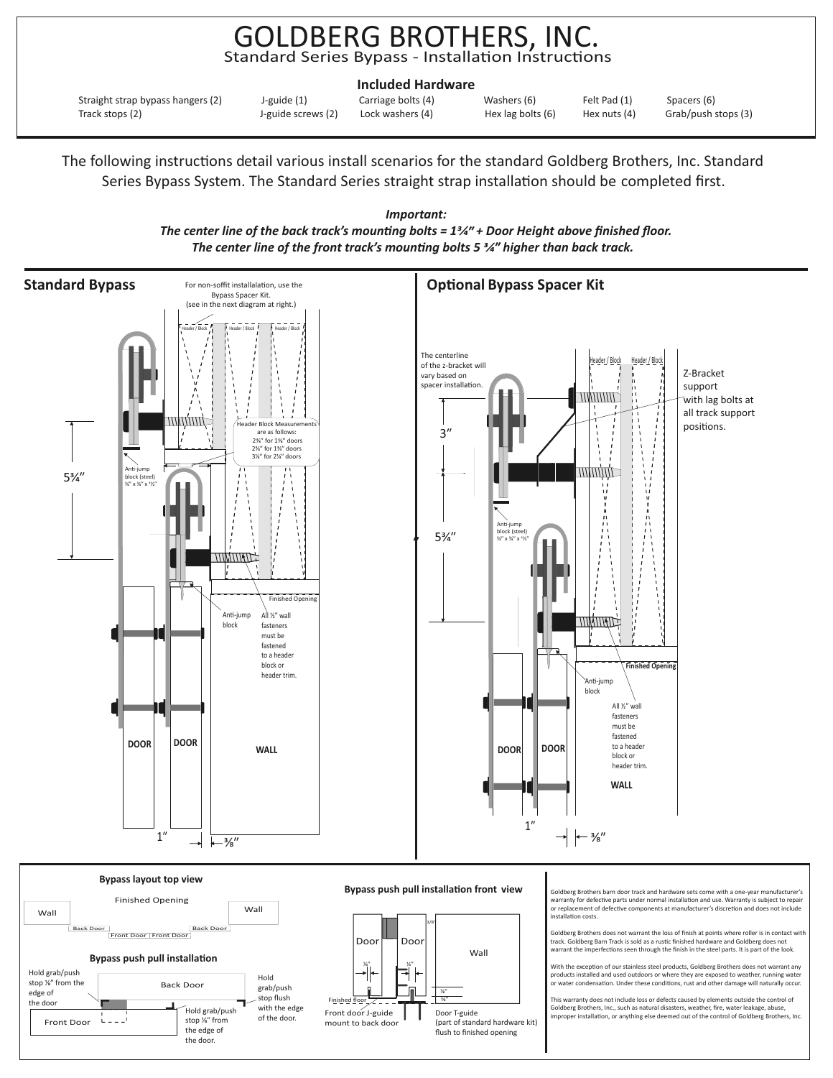## GOLDBERG BROTHERS, INC. Standard Series Bypass - Installation Instructions

| <b>Included Hardware</b>          |                    |                    |                   |                |                     |
|-----------------------------------|--------------------|--------------------|-------------------|----------------|---------------------|
| Straight strap bypass hangers (2) | J-guide (1)        | Carriage bolts (4) | Washers (6)       | Felt Pad (1)   | Spacers (6)         |
| Track stops (2)                   | J-guide screws (2) | Lock washers (4)   | Hex lag bolts (6) | Hex nuts $(4)$ | Grab/push stops (3) |

The following instructions detail various install scenarios for the standard Goldberg Brothers, Inc. Standard Series Bypass System. The Standard Series straight strap installation should be completed first.



The center line of the back track's mounting bolts = 1<sup>3</sup>/<sub>4</sub>" + Door Height above finished floor. *Important: The center line of the front track's mounting bolts 5 <sup>3</sup>/4<sup><i>m*</sup> higher than back track.

> Goldberg Brothers, Inc., such as natural disasters, weather, fire, water leakage, abuse,<br>improper installation, or anything else deemed out of the control of Goldberg Brothers, Inc. Finishe finished floor Door T-guide (part of standard hardware kit) flush to finished opening Front door J-guide mount to back door ⁄"

with the edge of the door.

Hold grab/push stop 1/<sub>8</sub>" from the edge of the door.

Front Door